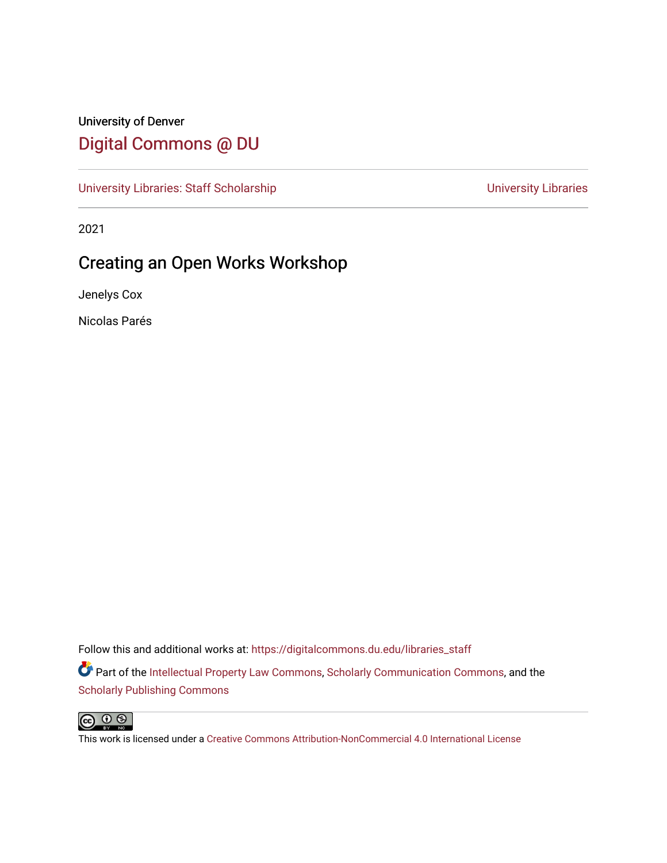## University of Denver [Digital Commons @ DU](https://digitalcommons.du.edu/)

[University Libraries: Staff Scholarship](https://digitalcommons.du.edu/libraries_staff) View Communication Christensity Libraries

2021

# Creating an Open Works Workshop

Jenelys Cox

Nicolas Parés

Follow this and additional works at: [https://digitalcommons.du.edu/libraries\\_staff](https://digitalcommons.du.edu/libraries_staff?utm_source=digitalcommons.du.edu%2Flibraries_staff%2F6&utm_medium=PDF&utm_campaign=PDFCoverPages)  **P** Part of the [Intellectual Property Law Commons,](https://network.bepress.com/hgg/discipline/896?utm_source=digitalcommons.du.edu%2Flibraries_staff%2F6&utm_medium=PDF&utm_campaign=PDFCoverPages) [Scholarly Communication Commons,](https://network.bepress.com/hgg/discipline/1272?utm_source=digitalcommons.du.edu%2Flibraries_staff%2F6&utm_medium=PDF&utm_campaign=PDFCoverPages) and the [Scholarly Publishing Commons](https://network.bepress.com/hgg/discipline/1273?utm_source=digitalcommons.du.edu%2Flibraries_staff%2F6&utm_medium=PDF&utm_campaign=PDFCoverPages)



This work is licensed under a [Creative Commons Attribution-NonCommercial 4.0 International License](https://creativecommons.org/licenses/by-nc/4.0/)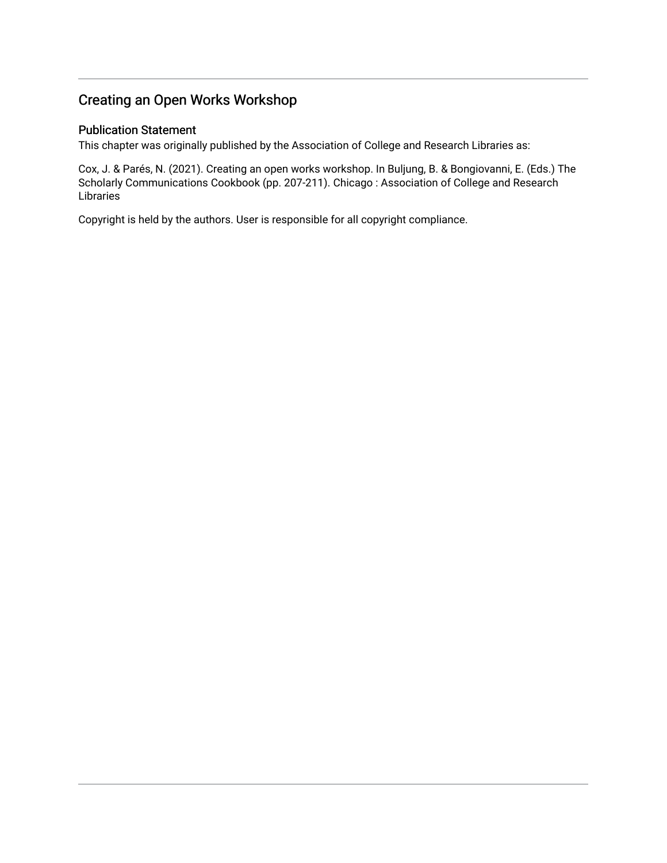#### Creating an Open Works Workshop

#### Publication Statement

This chapter was originally published by the Association of College and Research Libraries as:

Cox, J. & Parés, N. (2021). Creating an open works workshop. In Buljung, B. & Bongiovanni, E. (Eds.) The Scholarly Communications Cookbook (pp. 207-211). Chicago : Association of College and Research Libraries

Copyright is held by the authors. User is responsible for all copyright compliance.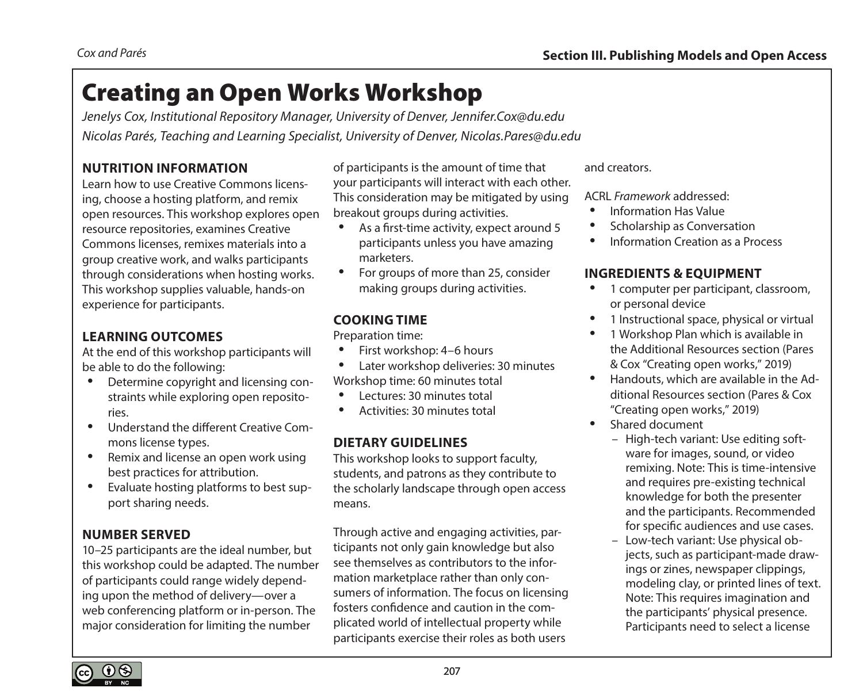# Creating an Open Works Workshop

*Jenelys Cox, Institutional Repository Manager, University of Denver, [Jennifer.Cox@du.edu](mailto:Jennifer.Cox@du.edu) Nicolas Parés, Teaching and Learning Specialist, University of Denver, [Nicolas.Pares@du.edu](mailto:Nicolas.Pares@du.edu)*

#### **NUTRITION INFORMATION**

Learn how to use Creative Commons licensing, choose a hosting platform, and remix open resources. This workshop explores open resource repositories, examines Creative Commons licenses, remixes materials into a group creative work, and walks participants through considerations when hosting works. This workshop supplies valuable, hands-on experience for participants.

#### **LEARNING OUTCOMES**

At the end of this workshop participants will be able to do the following:

- Determine copyright and licensing constraints while exploring open repositories.
- Understand the different Creative Commons license types.
- Remix and license an open work using best practices for attribution.
- Evaluate hosting platforms to best support sharing needs.

#### **NUMBER SERVED**

10–25 participants are the ideal number, but this workshop could be adapted. The number of participants could range widely depending upon the method of delivery—over a web conferencing platform or in-person. The major consideration for limiting the number

of participants is the amount of time that your participants will interact with each other. This consideration may be mitigated by using breakout groups during activities.

- As a first-time activity, expect around 5 participants unless you have amazing marketers.
- For groups of more than 25, consider making groups during activities.

#### **COOKING TIME**

Preparation time:

- First workshop: 4–6 hours
- Later workshop deliveries: 30 minutes Workshop time: 60 minutes total
- Lectures: 30 minutes total
- Activities: 30 minutes total

#### **DIETARY GUIDELINES**

This workshop looks to support faculty, students, and patrons as they contribute to the scholarly landscape through open access means.

Through active and engaging activities, participants not only gain knowledge but also see themselves as contributors to the information marketplace rather than only consumers of information. The focus on licensing fosters confidence and caution in the complicated world of intellectual property while participants exercise their roles as both users

and creators.

ACRL *Framework* addressed:

- Information Has Value
- Scholarship as Conversation
- Information Creation as a Process

#### **INGREDIENTS & EQUIPMENT**

- 1 computer per participant, classroom, or personal device
- 1 Instructional space, physical or virtual
- 1 Workshop Plan which is available in the Additional Resources section (Pares & Cox "Creating open works," 2019)
- Handouts, which are available in the Additional Resources section (Pares & Cox "Creating open works," 2019)
- Shared document
	- High-tech variant: Use editing software for images, sound, or video remixing. Note: This is time-intensive and requires pre-existing technical knowledge for both the presenter and the participants. Recommended for specific audiences and use cases.
	- Low-tech variant: Use physical objects, such as participant-made drawings or zines, newspaper clippings, modeling clay, or printed lines of text. Note: This requires imagination and the participants' physical presence. Participants need to select a license

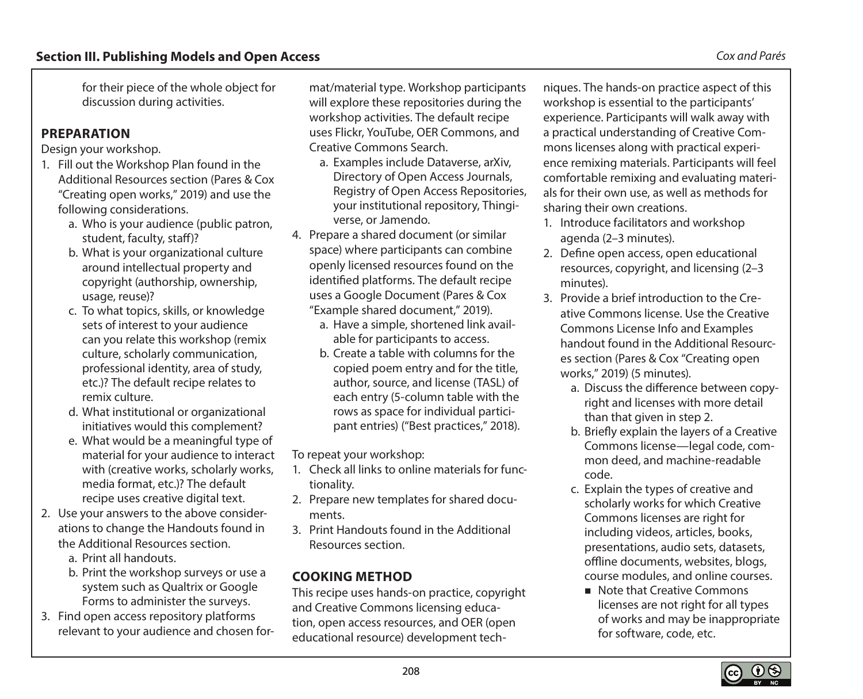for their piece of the whole object for discussion during activities.

#### **PREPARATION**

Design your workshop.

- 1. Fill out the Workshop Plan found in the Additional Resources section (Pares & Cox "Creating open works," 2019) and use the following considerations.
	- a. Who is your audience (public patron, student, faculty, staff)?
	- b. What is your organizational culture around intellectual property and copyright (authorship, ownership, usage, reuse)?
	- c. To what topics, skills, or knowledge sets of interest to your audience can you relate this workshop (remix culture, scholarly communication, professional identity, area of study, etc.)? The default recipe relates to remix culture.
	- d. What institutional or organizational initiatives would this complement?
	- e. What would be a meaningful type of material for your audience to interact with (creative works, scholarly works, media format, etc.)? The default recipe uses creative digital text.
- 2. Use your answers to the above considerations to change the Handouts found in the Additional Resources section.
	- a. Print all handouts.
	- b. Print the workshop surveys or use a system such as Qualtrix or Google Forms to administer the surveys.
- 3. Find open access repository platforms relevant to your audience and chosen for-

mat/material type. Workshop participants will explore these repositories during the workshop activities. The default recipe uses Flickr, YouTube, OER Commons, and Creative Commons Search.

- a. Examples include Dataverse, arXiv, Directory of Open Access Journals, Registry of Open Access Repositories, your institutional repository, Thingiverse, or Jamendo.
- 4. Prepare a shared document (or similar space) where participants can combine openly licensed resources found on the identified platforms. The default recipe uses a Google Document (Pares & Cox "Example shared document," 2019).
	- a. Have a simple, shortened link available for participants to access.
	- b. Create a table with columns for the copied poem entry and for the title, author, source, and license (TASL) of each entry (5-column table with the rows as space for individual participant entries) ("Best practices," 2018).

To repeat your workshop:

- 1. Check all links to online materials for functionality.
- 2. Prepare new templates for shared documents.
- 3. Print Handouts found in the Additional Resources section.

### **COOKING METHOD**

This recipe uses hands-on practice, copyright and Creative Commons licensing education, open access resources, and OER (open educational resource) development tech-

niques. The hands-on practice aspect of this workshop is essential to the participants' experience. Participants will walk away with a practical understanding of Creative Commons licenses along with practical experience remixing materials. Participants will feel comfortable remixing and evaluating materials for their own use, as well as methods for sharing their own creations.

- 1. Introduce facilitators and workshop agenda (2–3 minutes).
- 2. Define open access, open educational resources, copyright, and licensing (2–3 minutes).
- 3. Provide a brief introduction to the Creative Commons license. Use the Creative Commons License Info and Examples handout found in the Additional Resources section (Pares & Cox "Creating open works," 2019) (5 minutes).
	- a. Discuss the difference between copyright and licenses with more detail than that given in step 2.
	- b. Briefly explain the layers of a Creative Commons license—legal code, common deed, and machine-readable code.
	- c. Explain the types of creative and scholarly works for which Creative Commons licenses are right for including videos, articles, books, presentations, audio sets, datasets, offline documents, websites, blogs, course modules, and online courses.
		- Note that Creative Commons licenses are not right for all types of works and may be inappropriate for software, code, etc.

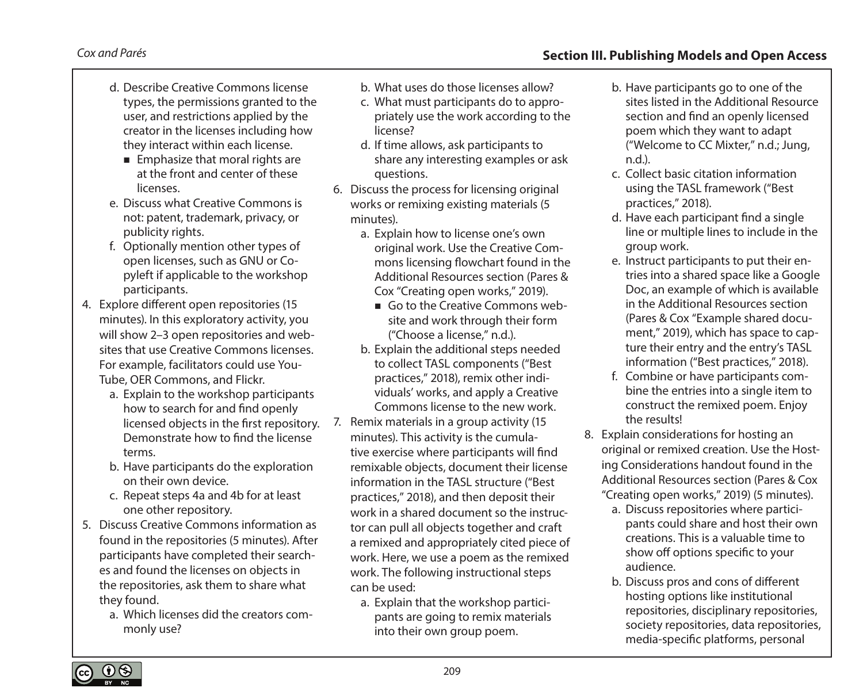#### *Cox and Parés* **Section III. Publishing Models and Open Access**

- d. Describe Creative Commons license types, the permissions granted to the user, and restrictions applied by the creator in the licenses including how they interact within each license.
	- **Emphasize that moral rights are** at the front and center of these licenses.
- e. Discuss what Creative Commons is not: patent, trademark, privacy, or publicity rights.
- f. Optionally mention other types of open licenses, such as GNU or Copyleft if applicable to the workshop participants.
- 4. Explore different open repositories (15 minutes). In this exploratory activity, you will show 2–3 open repositories and websites that use Creative Commons licenses. For example, facilitators could use You-Tube, OER Commons, and Flickr.
	- a. Explain to the workshop participants how to search for and find openly licensed objects in the first repository. Demonstrate how to find the license terms.
	- b. Have participants do the exploration on their own device.
	- c. Repeat steps 4a and 4b for at least one other repository.
- 5. Discuss Creative Commons information as found in the repositories (5 minutes). After participants have completed their searches and found the licenses on objects in the repositories, ask them to share what they found.
	- a. Which licenses did the creators commonly use?
- b. What uses do those licenses allow?
- c. What must participants do to appropriately use the work according to the license?
- d. If time allows, ask participants to share any interesting examples or ask questions.
- 6. Discuss the process for licensing original works or remixing existing materials (5 minutes).
	- a. Explain how to license one's own original work. Use the Creative Commons licensing flowchart found in the Additional Resources section (Pares & Cox "Creating open works," 2019).
		- Go to the Creative Commons website and work through their form ("Choose a license," n.d.).
	- b. Explain the additional steps needed to collect TASL components ("Best practices," 2018), remix other individuals' works, and apply a Creative Commons license to the new work.
- 7. Remix materials in a group activity (15 minutes). This activity is the cumulative exercise where participants will find remixable objects, document their license information in the TASL structure ("Best practices," 2018), and then deposit their work in a shared document so the instructor can pull all objects together and craft a remixed and appropriately cited piece of work. Here, we use a poem as the remixed work. The following instructional steps can be used:
	- a. Explain that the workshop participants are going to remix materials into their own group poem.
- b. Have participants go to one of the sites listed in the Additional Resource section and find an openly licensed poem which they want to adapt ("Welcome to CC Mixter," n.d.; Jung, n.d.).
- c. Collect basic citation information using the TASL framework ("Best practices," 2018).
- d. Have each participant find a single line or multiple lines to include in the group work.
- e. Instruct participants to put their entries into a shared space like a Google Doc, an example of which is available in the Additional Resources section (Pares & Cox "Example shared document," 2019), which has space to capture their entry and the entry's TASL information ("Best practices," 2018).
- f. Combine or have participants combine the entries into a single item to construct the remixed poem. Enjoy the results!
- 8. Explain considerations for hosting an original or remixed creation. Use the Hosting Considerations handout found in the Additional Resources section (Pares & Cox "Creating open works," 2019) (5 minutes).
	- a. Discuss repositories where participants could share and host their own creations. This is a valuable time to show off options specific to your audience.
	- b. Discuss pros and cons of different hosting options like institutional repositories, disciplinary repositories, society repositories, data repositories, media-specific platforms, personal

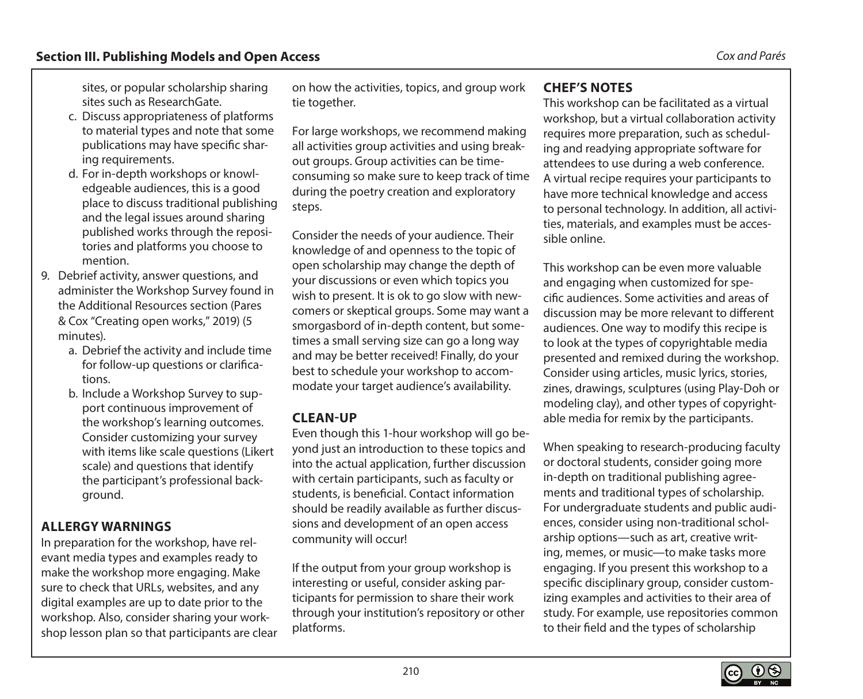sites, or popular scholarship sharing sites such as ResearchGate.

- c. Discuss appropriateness of platforms to material types and note that some publications may have specific sharing requirements.
- d. For in-depth workshops or knowledgeable audiences, this is a good place to discuss traditional publishing and the legal issues around sharing published works through the repositories and platforms you choose to mention.
- 9. Debrief activity, answer questions, and administer the Workshop Survey found in the Additional Resources section (Pares & Cox "Creating open works," 2019) (5 minutes).
	- a. Debrief the activity and include time for follow-up questions or clarifications.
	- b. Include a Workshop Survey to support continuous improvement of the workshop's learning outcomes. Consider customizing your survey with items like scale questions (Likert scale) and questions that identify the participant's professional background.

#### **ALLERGY WARNINGS**

In preparation for the workshop, have relevant media types and examples ready to make the workshop more engaging. Make sure to check that URLs, websites, and any digital examples are up to date prior to the workshop. Also, consider sharing your workshop lesson plan so that participants are clear

on how the activities, topics, and group work tie together.

For large workshops, we recommend making all activities group activities and using breakout groups. Group activities can be timeconsuming so make sure to keep track of time during the poetry creation and exploratory steps.

Consider the needs of your audience. Their knowledge of and openness to the topic of open scholarship may change the depth of your discussions or even which topics you wish to present. It is ok to go slow with newcomers or skeptical groups. Some may want a smorgasbord of in-depth content, but sometimes a small serving size can go a long way and may be better received! Finally, do your best to schedule your workshop to accommodate your target audience's availability.

#### **CLEAN-UP**

Even though this 1-hour workshop will go beyond just an introduction to these topics and into the actual application, further discussion with certain participants, such as faculty or students, is beneficial. Contact information should be readily available as further discussions and development of an open access community will occur!

If the output from your group workshop is interesting or useful, consider asking participants for permission to share their work through your institution's repository or other platforms.

#### **CHEF'S NOTES**

This workshop can be facilitated as a virtual workshop, but a virtual collaboration activity requires more preparation, such as scheduling and readying appropriate software for attendees to use during a web conference. A virtual recipe requires your participants to have more technical knowledge and access to personal technology. In addition, all activities, materials, and examples must be accessible online.

This workshop can be even more valuable and engaging when customized for specific audiences. Some activities and areas of discussion may be more relevant to different audiences. One way to modify this recipe is to look at the types of copyrightable media presented and remixed during the workshop. Consider using articles, music lyrics, stories, zines, drawings, sculptures (using Play-Doh or modeling clay), and other types of copyrightable media for remix by the participants.

When speaking to research-producing faculty or doctoral students, consider going more in-depth on traditional publishing agreements and traditional types of scholarship. For undergraduate students and public audiences, consider using non-traditional scholarship options—such as art, creative writing, memes, or music—to make tasks more engaging. If you present this workshop to a specific disciplinary group, consider customizing examples and activities to their area of study. For example, use repositories common to their field and the types of scholarship